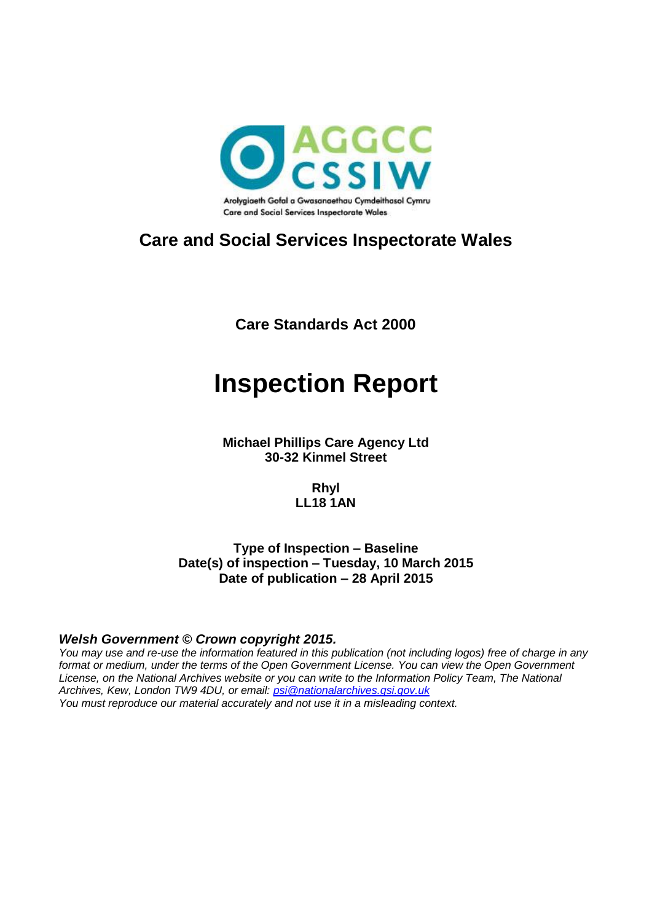

### **Care and Social Services Inspectorate Wales**

**Care Standards Act 2000**

# **Inspection Report**

**Michael Phillips Care Agency Ltd 30-32 Kinmel Street**

> **Rhyl LL18 1AN**

**Type of Inspection – Baseline Date(s) of inspection – Tuesday, 10 March 2015 Date of publication – 28 April 2015**

#### *Welsh Government © Crown copyright 2015.*

*You may use and re-use the information featured in this publication (not including logos) free of charge in any format or medium, under the terms of the Open Government License. You can view the Open Government License, on the National Archives website or you can write to the Information Policy Team, The National Archives, Kew, London TW9 4DU, or email: [psi@nationalarchives.gsi.gov.uk](mailto:psi@nationalarchives.gsi.gov.uk) You must reproduce our material accurately and not use it in a misleading context.*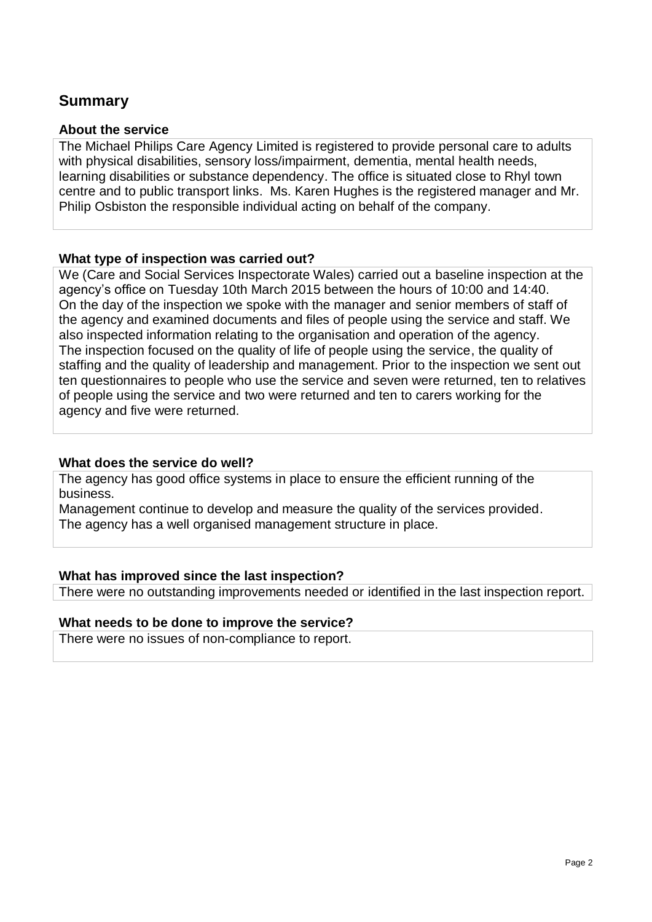#### **Summary**

#### **About the service**

The Michael Philips Care Agency Limited is registered to provide personal care to adults with physical disabilities, sensory loss/impairment, dementia, mental health needs, learning disabilities or substance dependency. The office is situated close to Rhyl town centre and to public transport links. Ms. Karen Hughes is the registered manager and Mr. Philip Osbiston the responsible individual acting on behalf of the company.

#### **What type of inspection was carried out?**

We (Care and Social Services Inspectorate Wales) carried out a baseline inspection at the agency's office on Tuesday 10th March 2015 between the hours of 10:00 and 14:40. On the day of the inspection we spoke with the manager and senior members of staff of the agency and examined documents and files of people using the service and staff. We also inspected information relating to the organisation and operation of the agency. The inspection focused on the quality of life of people using the service, the quality of staffing and the quality of leadership and management. Prior to the inspection we sent out ten questionnaires to people who use the service and seven were returned, ten to relatives of people using the service and two were returned and ten to carers working for the agency and five were returned.

#### **What does the service do well?**

The agency has good office systems in place to ensure the efficient running of the business.

Management continue to develop and measure the quality of the services provided. The agency has a well organised management structure in place.

#### **What has improved since the last inspection?**

There were no outstanding improvements needed or identified in the last inspection report.

#### **What needs to be done to improve the service?**

There were no issues of non-compliance to report.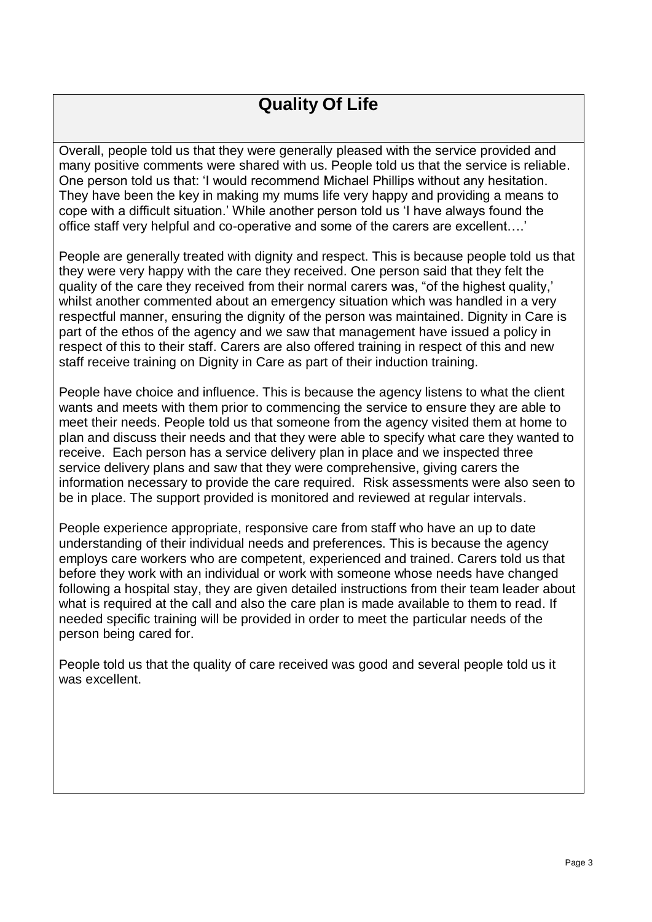### **Quality Of Life**

Overall, people told us that they were generally pleased with the service provided and many positive comments were shared with us. People told us that the service is reliable. One person told us that: 'I would recommend Michael Phillips without any hesitation. They have been the key in making my mums life very happy and providing a means to cope with a difficult situation.' While another person told us 'I have always found the office staff very helpful and co-operative and some of the carers are excellent….'

People are generally treated with dignity and respect. This is because people told us that they were very happy with the care they received. One person said that they felt the quality of the care they received from their normal carers was, "of the highest quality,' whilst another commented about an emergency situation which was handled in a very respectful manner, ensuring the dignity of the person was maintained. Dignity in Care is part of the ethos of the agency and we saw that management have issued a policy in respect of this to their staff. Carers are also offered training in respect of this and new staff receive training on Dignity in Care as part of their induction training.

People have choice and influence. This is because the agency listens to what the client wants and meets with them prior to commencing the service to ensure they are able to meet their needs. People told us that someone from the agency visited them at home to plan and discuss their needs and that they were able to specify what care they wanted to receive. Each person has a service delivery plan in place and we inspected three service delivery plans and saw that they were comprehensive, giving carers the information necessary to provide the care required. Risk assessments were also seen to be in place. The support provided is monitored and reviewed at regular intervals.

People experience appropriate, responsive care from staff who have an up to date understanding of their individual needs and preferences. This is because the agency employs care workers who are competent, experienced and trained. Carers told us that before they work with an individual or work with someone whose needs have changed following a hospital stay, they are given detailed instructions from their team leader about what is required at the call and also the care plan is made available to them to read. If needed specific training will be provided in order to meet the particular needs of the person being cared for.

People told us that the quality of care received was good and several people told us it was excellent.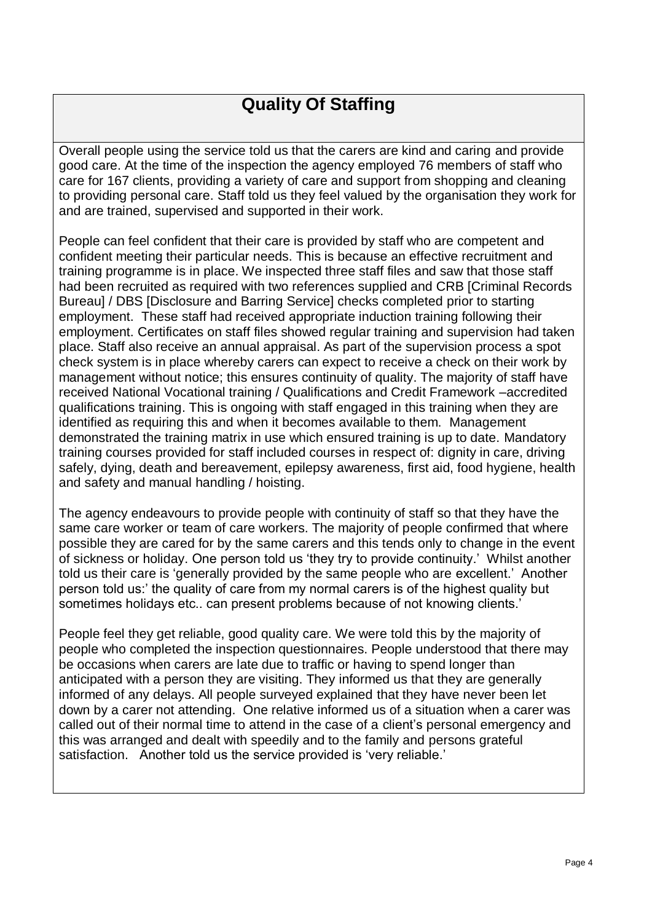### **Quality Of Staffing**

Overall people using the service told us that the carers are kind and caring and provide good care. At the time of the inspection the agency employed 76 members of staff who care for 167 clients, providing a variety of care and support from shopping and cleaning to providing personal care. Staff told us they feel valued by the organisation they work for and are trained, supervised and supported in their work.

People can feel confident that their care is provided by staff who are competent and confident meeting their particular needs. This is because an effective recruitment and training programme is in place. We inspected three staff files and saw that those staff had been recruited as required with two references supplied and CRB [Criminal Records Bureau] / DBS [Disclosure and Barring Service] checks completed prior to starting employment. These staff had received appropriate induction training following their employment. Certificates on staff files showed regular training and supervision had taken place. Staff also receive an annual appraisal. As part of the supervision process a spot check system is in place whereby carers can expect to receive a check on their work by management without notice; this ensures continuity of quality. The majority of staff have received National Vocational training / Qualifications and Credit Framework –accredited qualifications training. This is ongoing with staff engaged in this training when they are identified as requiring this and when it becomes available to them. Management demonstrated the training matrix in use which ensured training is up to date. Mandatory training courses provided for staff included courses in respect of: dignity in care, driving safely, dying, death and bereavement, epilepsy awareness, first aid, food hygiene, health and safety and manual handling / hoisting.

The agency endeavours to provide people with continuity of staff so that they have the same care worker or team of care workers. The majority of people confirmed that where possible they are cared for by the same carers and this tends only to change in the event of sickness or holiday. One person told us 'they try to provide continuity.' Whilst another told us their care is 'generally provided by the same people who are excellent.' Another person told us:' the quality of care from my normal carers is of the highest quality but sometimes holidays etc.. can present problems because of not knowing clients.'

People feel they get reliable, good quality care. We were told this by the majority of people who completed the inspection questionnaires. People understood that there may be occasions when carers are late due to traffic or having to spend longer than anticipated with a person they are visiting. They informed us that they are generally informed of any delays. All people surveyed explained that they have never been let down by a carer not attending. One relative informed us of a situation when a carer was called out of their normal time to attend in the case of a client's personal emergency and this was arranged and dealt with speedily and to the family and persons grateful satisfaction. Another told us the service provided is 'very reliable.'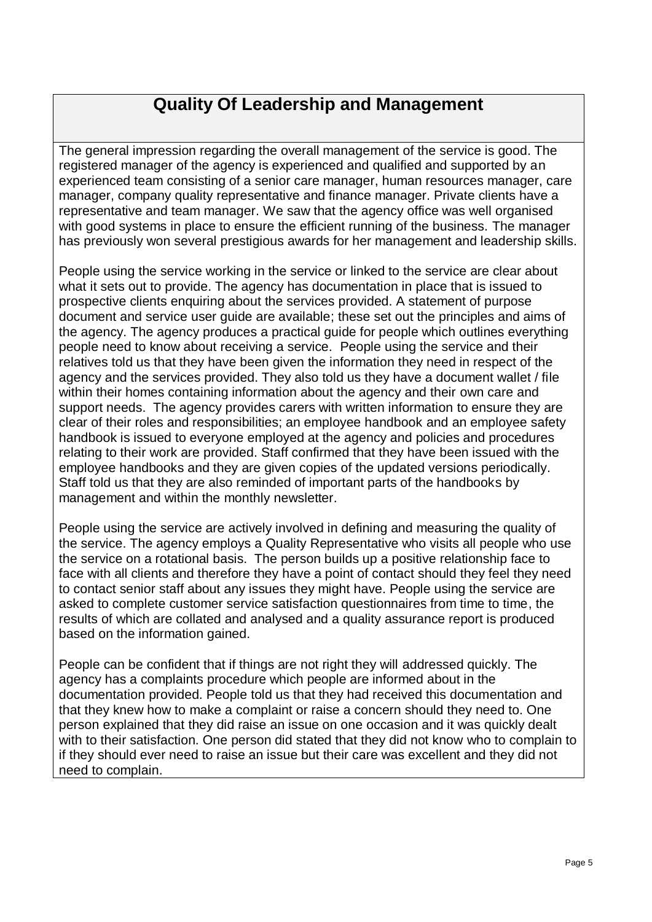### **Quality Of Leadership and Management**

The general impression regarding the overall management of the service is good. The registered manager of the agency is experienced and qualified and supported by an experienced team consisting of a senior care manager, human resources manager, care manager, company quality representative and finance manager. Private clients have a representative and team manager. We saw that the agency office was well organised with good systems in place to ensure the efficient running of the business. The manager has previously won several prestigious awards for her management and leadership skills.

People using the service working in the service or linked to the service are clear about what it sets out to provide. The agency has documentation in place that is issued to prospective clients enquiring about the services provided. A statement of purpose document and service user guide are available; these set out the principles and aims of the agency. The agency produces a practical guide for people which outlines everything people need to know about receiving a service. People using the service and their relatives told us that they have been given the information they need in respect of the agency and the services provided. They also told us they have a document wallet / file within their homes containing information about the agency and their own care and support needs. The agency provides carers with written information to ensure they are clear of their roles and responsibilities; an employee handbook and an employee safety handbook is issued to everyone employed at the agency and policies and procedures relating to their work are provided. Staff confirmed that they have been issued with the employee handbooks and they are given copies of the updated versions periodically. Staff told us that they are also reminded of important parts of the handbooks by management and within the monthly newsletter.

People using the service are actively involved in defining and measuring the quality of the service. The agency employs a Quality Representative who visits all people who use the service on a rotational basis. The person builds up a positive relationship face to face with all clients and therefore they have a point of contact should they feel they need to contact senior staff about any issues they might have. People using the service are asked to complete customer service satisfaction questionnaires from time to time, the results of which are collated and analysed and a quality assurance report is produced based on the information gained.

People can be confident that if things are not right they will addressed quickly. The agency has a complaints procedure which people are informed about in the documentation provided. People told us that they had received this documentation and that they knew how to make a complaint or raise a concern should they need to. One person explained that they did raise an issue on one occasion and it was quickly dealt with to their satisfaction. One person did stated that they did not know who to complain to if they should ever need to raise an issue but their care was excellent and they did not need to complain.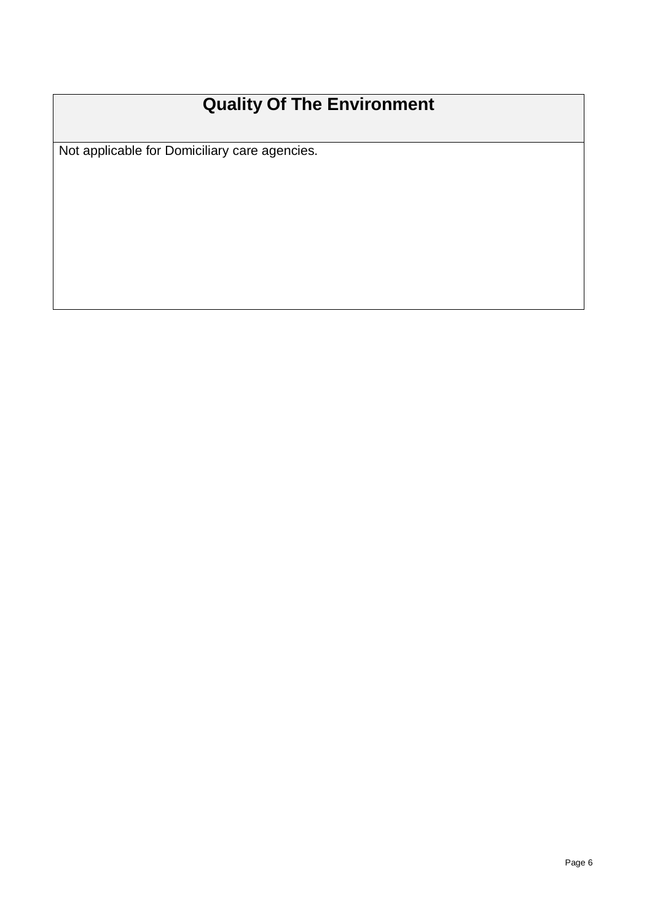## **Quality Of The Environment**

Not applicable for Domiciliary care agencies.